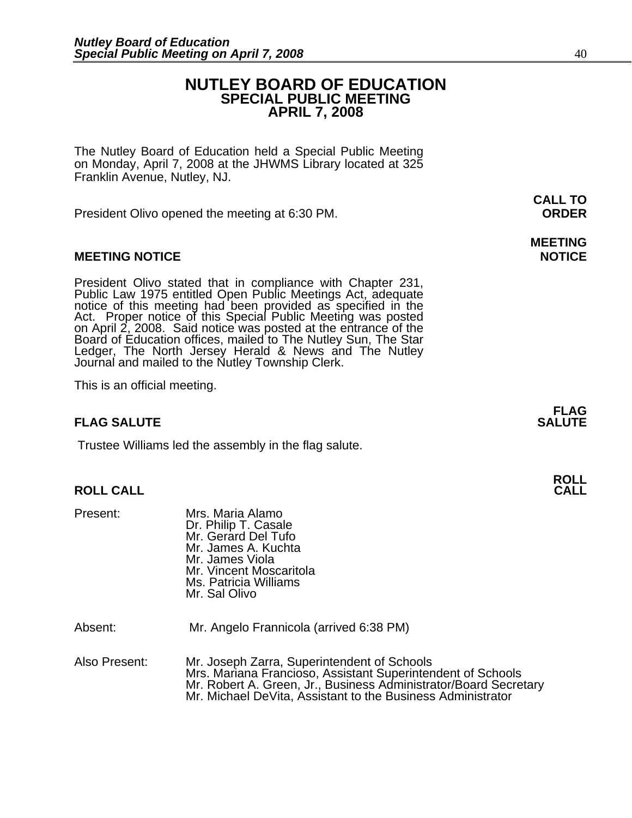### **NUTLEY BOARD OF EDUCATION SPECIAL PUBLIC MEETING APRIL 7, 2008**

The Nutley Board of Education held a Special Public Meeting on Monday, April 7, 2008 at the JHWMS Library located at 325 Franklin Avenue, Nutley, NJ.

President Olivo opened the meeting at 6:30 PM. **ORDER**

#### **MEETING NOTICE NOTICE**

President Olivo stated that in compliance with Chapter 231, Public Law 1975 entitled Open Public Meetings Act, adequate notice of this meeting had been provided as specified in the Act. Proper notice of this Special Public Board of Education offices, mailed to The Nutley Sun, The Star Ledger, The North Jersey Herald & News and The Nutley Journal and mailed to the Nutley Township Clerk.

This is an official meeting.

#### **FLAG SALUTE SALUTE SALUTE SALUTE**

Trustee Williams led the assembly in the flag salute.

## **ROLL ROLL CALL CALL**

Present: Mrs. Maria Alamo Dr. Philip T. Casale Mr. Gerard Del Tufo Mr. James A. Kuchta Mr. James Viola Mr. Vincent Moscaritola Ms. Patricia Williams Mr. Sal Olivo

Absent: Mr. Angelo Frannicola (arrived 6:38 PM)

Also Present: Mr. Joseph Zarra, Superintendent of Schools Mrs. Mariana Francioso, Assistant Superintendent of Schools<br>Mr. Robert A. Green, Jr., Business Administrator/Board Secretary<br>Mr. Michael DeVita, Assistant to the Business Administrator

**CALL TO** 

**MEETING** 

**FLAG**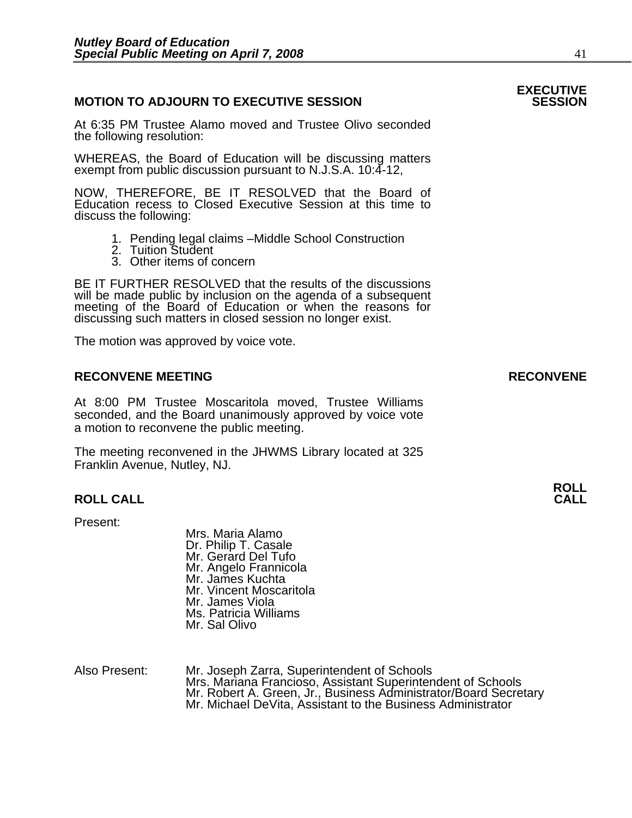#### **MOTION TO ADJOURN TO EXECUTIVE SESSION**

At 6:35 PM Trustee Alamo moved and Trustee Olivo seconded the following resolution:

WHEREAS, the Board of Education will be discussing matters exempt from public discussion pursuant to N.J.S.A. 10:4-12,

NOW, THEREFORE, BE IT RESOLVED that the Board of Education recess to Closed Executive Session at this time to discuss the following:

- 1. Pending legal claims –Middle School Construction
- 2. Tuition Student
- 3. Other items of concern

BE IT FURTHER RESOLVED that the results of the discussions will be made public by inclusion on the agenda of a subsequent meeting of the Board of Education or when the reasons for discussing such matters in closed session no longer exist.

The motion was approved by voice vote.

#### **RECONVENE MEETING RECONVENE**

At 8:00 PM Trustee Moscaritola moved, Trustee Williams seconded, and the Board unanimously approved by voice vote a motion to reconvene the public meeting.

The meeting reconvened in the JHWMS Library located at 325 Franklin Avenue, Nutley, NJ.

#### **ROLL CALL CALL**

Present:

Mrs. Maria Alamo Dr. Philip T. Casale Mr. Gerard Del Tufo Mr. Angelo Frannicola Mr. James Kuchta Mr. Vincent Moscaritola Mr. James Viola Ms. Patricia Williams Mr. Sal Olivo

Also Present: Mr. Joseph Zarra, Superintendent of Schools Mrs. Mariana Francioso, Assistant Superintendent of Schools Mr. Robert A. Green, Jr., Business Administrator/Board Secretary Mr. Michael DeVita, Assistant to the Business Administrator

# **EXECUTIVE**

**ROLL**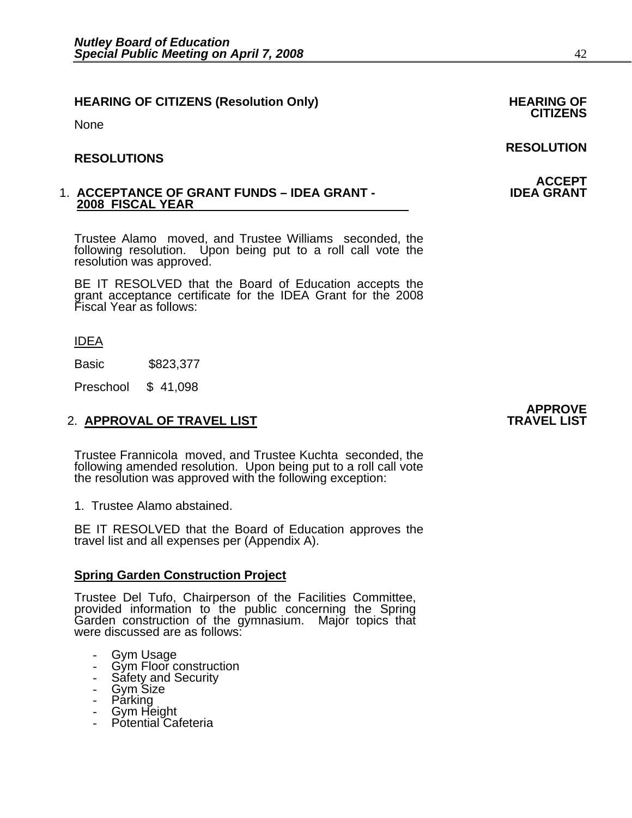## **HEARING OF CITIZENS (Resolution Only) HEARING OF CITIZENS**

None

#### **RESOLUTIONS**

#### 1. **ACCEPTANCE OF GRANT FUNDS – IDEA GRANT - IDEA GRANT 2008 FISCAL YEAR**

Trustee Alamo moved, and Trustee Williams seconded, the following resolution. Upon being put to a roll call vote the resolution was approved.

BE IT RESOLVED that the Board of Education accepts the grant acceptance certificate for the IDEA Grant for the 2008 Fiscal Year as follows:

IDEA

Basic \$823,377

Preschool \$ 41,098

### 2. APPROVAL OF TRAVEL LIST

Trustee Frannicola moved, and Trustee Kuchta seconded, the following amended resolution. Upon being put to a roll call vote the resolution was approved with the following exception:

1. Trustee Alamo abstained.

BE IT RESOLVED that the Board of Education approves the travel list and all expenses per (Appendix A).

#### **Spring Garden Construction Project**

Trustee Del Tufo, Chairperson of the Facilities Committee, provided information to the public concerning the Spring Garden construction of the gymnasium. Major topics that were discussed are as follows:

- Gym Usage
- Gym Floor construction
- Safety and Security
- Gym Size
- Parking
- Gym Height
- Potential Cafeteria

# **APPROVE**

### **RESOLUTION**

**ACCEPT<br>IDEA GRANT**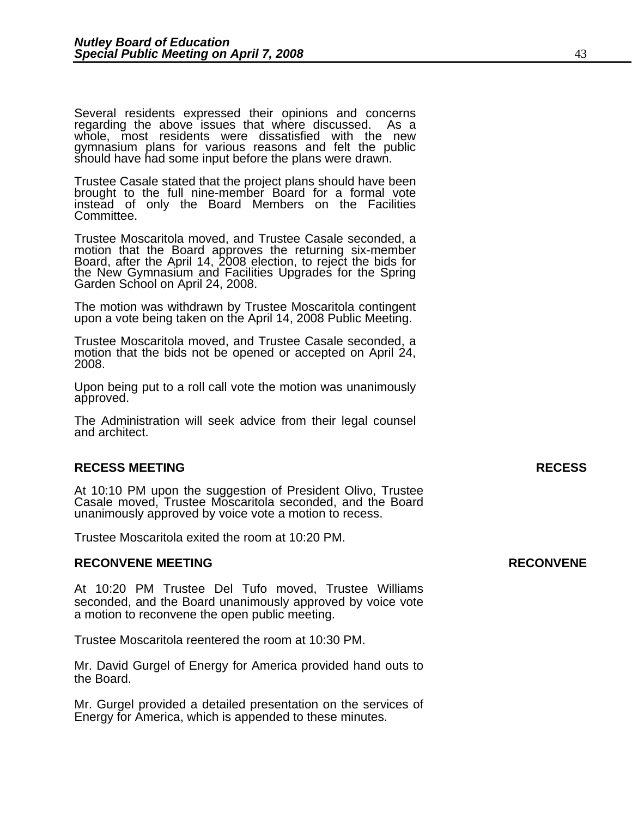Several residents expressed their opinions and concerns regarding the above issues that where discussed. As a whole, most residents were dissatisfied with the new gymnasium plans for various reasons and felt the public should have had some input before the plans were drawn.

Trustee Casale stated that the project plans should have been brought to the full nine-member Board for a formal vote instead of only the Board Members on the Facilities Committee.

Trustee Moscaritola moved, and Trustee Casale seconded, a motion that the Board approves the returning six-member Board, after the April 14, 2008 election, to reject the bids for<br>the New Gymnasium and Facilities Upgrades for the Spring<br>Garden School on April 24, 2008.

The motion was withdrawn by Trustee Moscaritola contingent upon a vote being taken on the April 14, 2008 Public Meeting.

Trustee Moscaritola moved, and Trustee Casale seconded, a motion that the bids not be opened or accepted on April 24, 2008.

Upon being put to a roll call vote the motion was unanimously approved.

The Administration will seek advice from their legal counsel and architect.

#### **RECESS MEETING RECESS**

At 10:10 PM upon the suggestion of President Olivo, Trustee Casale moved, Trustee Moscaritola seconded, and the Board unanimously approved by voice vote a motion to recess.

Trustee Moscaritola exited the room at 10:20 PM.

#### **RECONVENE MEETING RECONVENE**

At 10:20 PM Trustee Del Tufo moved, Trustee Williams seconded, and the Board unanimously approved by voice vote a motion to reconvene the open public meeting.

Trustee Moscaritola reentered the room at 10:30 PM.

Mr. David Gurgel of Energy for America provided hand outs to the Board.

Mr. Gurgel provided a detailed presentation on the services of Energy for America, which is appended to these minutes.